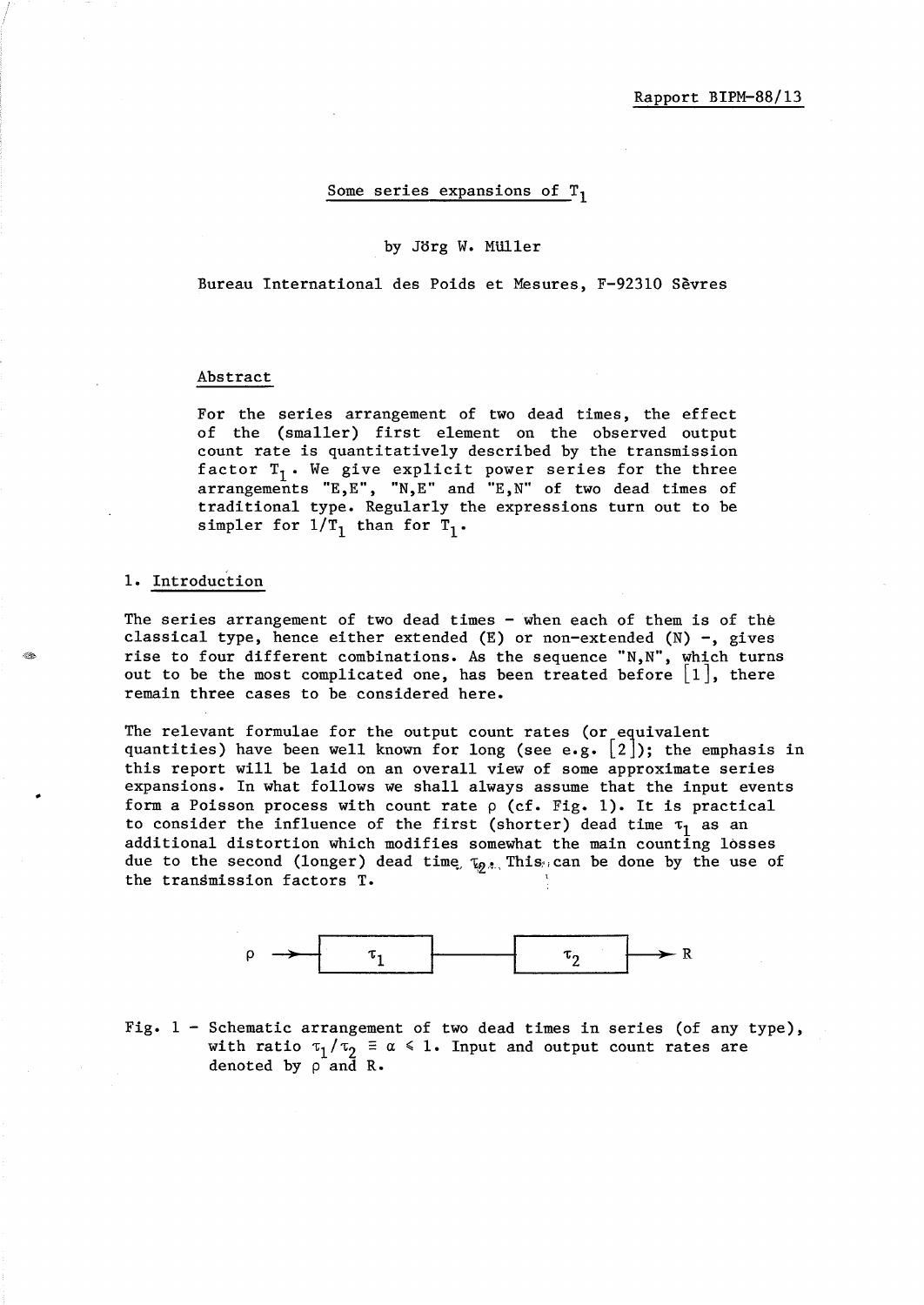#### Some series expansions of  $T_1$

### by Jorg W. MUller

Bureau International des Poids et Mesures, F-92310 Sevres

### Abstract

For the series arrangement of two dead times, the effect of the (smaller) first element on the observed output count rate is quantitatively described by the transmission factor  $T_1$ . We give explicit power series for the three arrangements "E,E", "N,E" and "E,N" of two dead times of traditional type. Regularly the expressions turn out to be simpler for  $1/T_1$  than for  $T_1$ .

#### 1. Introduction

The series arrangement of two dead times - when each of them is of the classical type, hence either extended  $(E)$  or non-extended  $(N)$  -, gives rise to four different combinations. As the sequence "N,N", which turns out to be the most complicated one, has been treated before  $|1|$ , there remain three cases to be considered here.

The relevant formulae for the output count rates (or equivalent quantities) have been well known for long (see e.g.  $\lfloor 2 \rfloor$ ); the emphasis in this report will be laid on an overall view of some approximate series expansions. In what follows we shall always assume that the input events form a Poisson process with count rate  $\rho$  (cf. Fig. 1). It is practical to consider the influence of the first (shorter) dead time  $\tau_1$  as an additional distortion which modifies somewhat the main counting losses due to the second (longer) dead time,  $\tau_{\varphi}$ , This; can be done by the use of the transmission factors T.



Fig. 1 - Schematic arrangement of two dead times in series (of any type), with ratio  $\tau_1/\tau_2 \equiv \alpha \leq 1$ . Input and output count rates are denoted by p and R.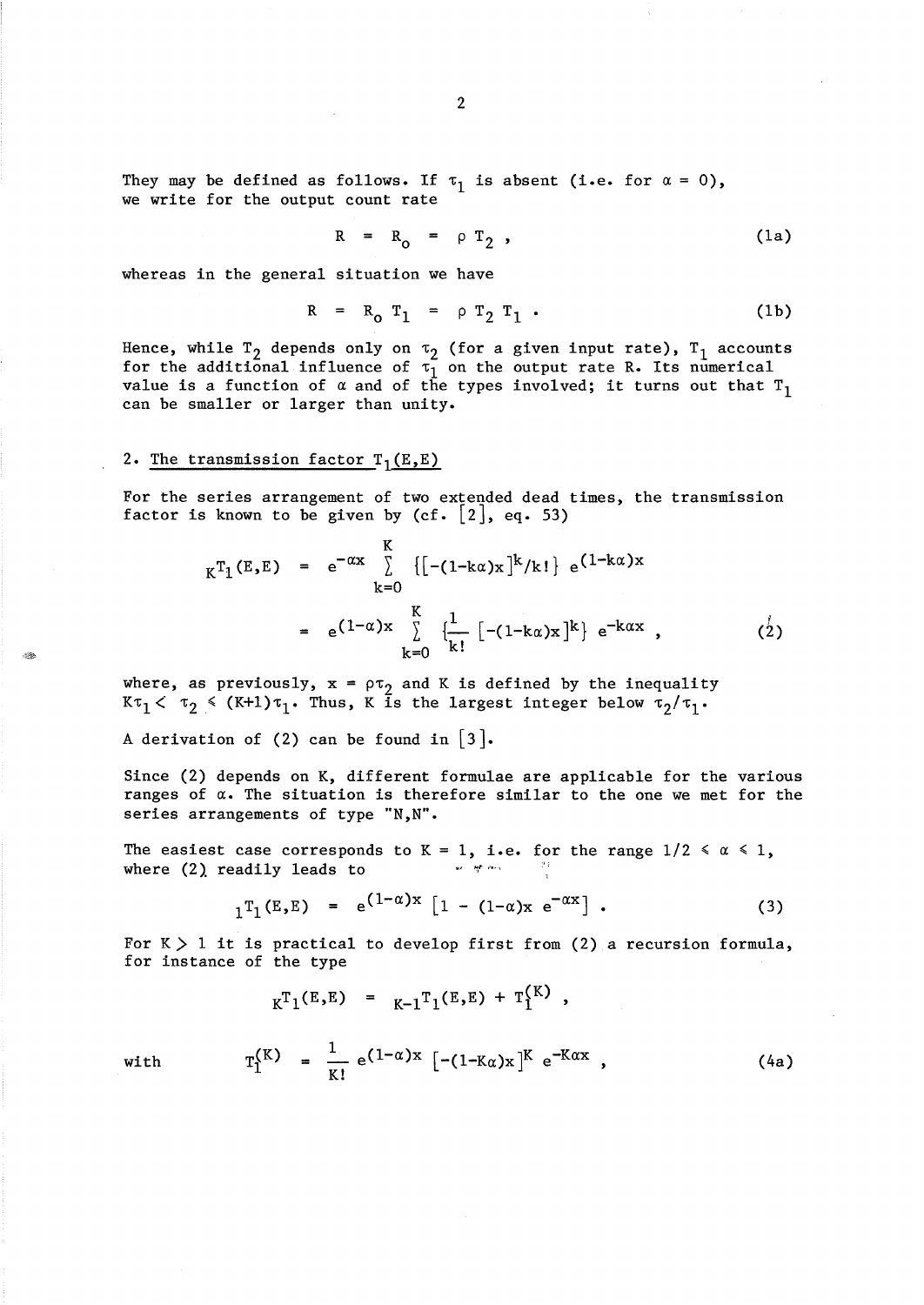They may be defined as follows. If  $\tau_1$  is absent (i.e. for  $\alpha = 0$ ), we write for the output count rate

$$
R = R_0 = \rho T_2 , \qquad (1a)
$$

whereas in the general situation we have

$$
R = R_0 T_1 = \rho T_2 T_1 . \qquad (1b)
$$

Hence, while  $T_2$  depends only on  $\tau_2$  (for a given input rate),  $T_1$  accounts for the additional influence of  $\tau_1$  on the output rate R. Its numerical value is a function of  $\alpha$  and of the types involved; it turns out that  $T_1$ can be smaller or larger than unity.

## 2. The transmission factor  $T_1(E,E)$

For the series arrangement of two extended dead times, the transmission factor is known to be given by  $(cf. [2], eq. 53)$ 

$$
{}_{K}T_{1}(E,E) = e^{-\alpha x} \sum_{k=0}^{K} \{[-(1-k\alpha)x]^{k}/k!\} e^{(1-k\alpha)x}
$$
  

$$
= e^{(1-\alpha)x} \sum_{k=0}^{K} \{\frac{1}{k!} [-(1-k\alpha)x]^{k}\} e^{-k\alpha x},
$$
 (2)

where, as previously,  $x = \rho \tau_2$  and K is defined by the inequality  $K\tau_1 < \tau_2 \leq (K+1)\tau_1$ . Thus, K is the largest integer below  $\tau_2/\tau_1$ .

A derivation of (2) can be found in  $|3|$ .

Since (2) depends on K, different formulae are applicable for the various ranges of *a.* The situation is therefore similar to the one we met for the series arrangements of type "N,N".

The easiest case corresponds to K = 1, i.e. for the range  $1/2 \le \alpha \le 1$ , where  $(2)$  readily leads to *.,1* **'1"** ,"--\

$$
{}_{1}T_{1}(E,E) = e^{(1-\alpha)x} [1 - (1-\alpha)x e^{-\alpha x}] . \qquad (3)
$$

 $252$ 

For  $K > 1$  it is practical to develop first from (2) a recursion formula, for instance of the type

$$
K_{\rm K}^{\rm T}({\rm E}, {\rm E}) = K_{\rm K}^{\rm T}({\rm E}, {\rm E}) + {\rm T}_{\rm L}^{\rm K} \,,
$$

with 
$$
T_1^{(K)} = \frac{1}{K!} e^{(1-\alpha)x} [-(1-K\alpha)x]^{K} e^{-K\alpha x}
$$
, (4a)

2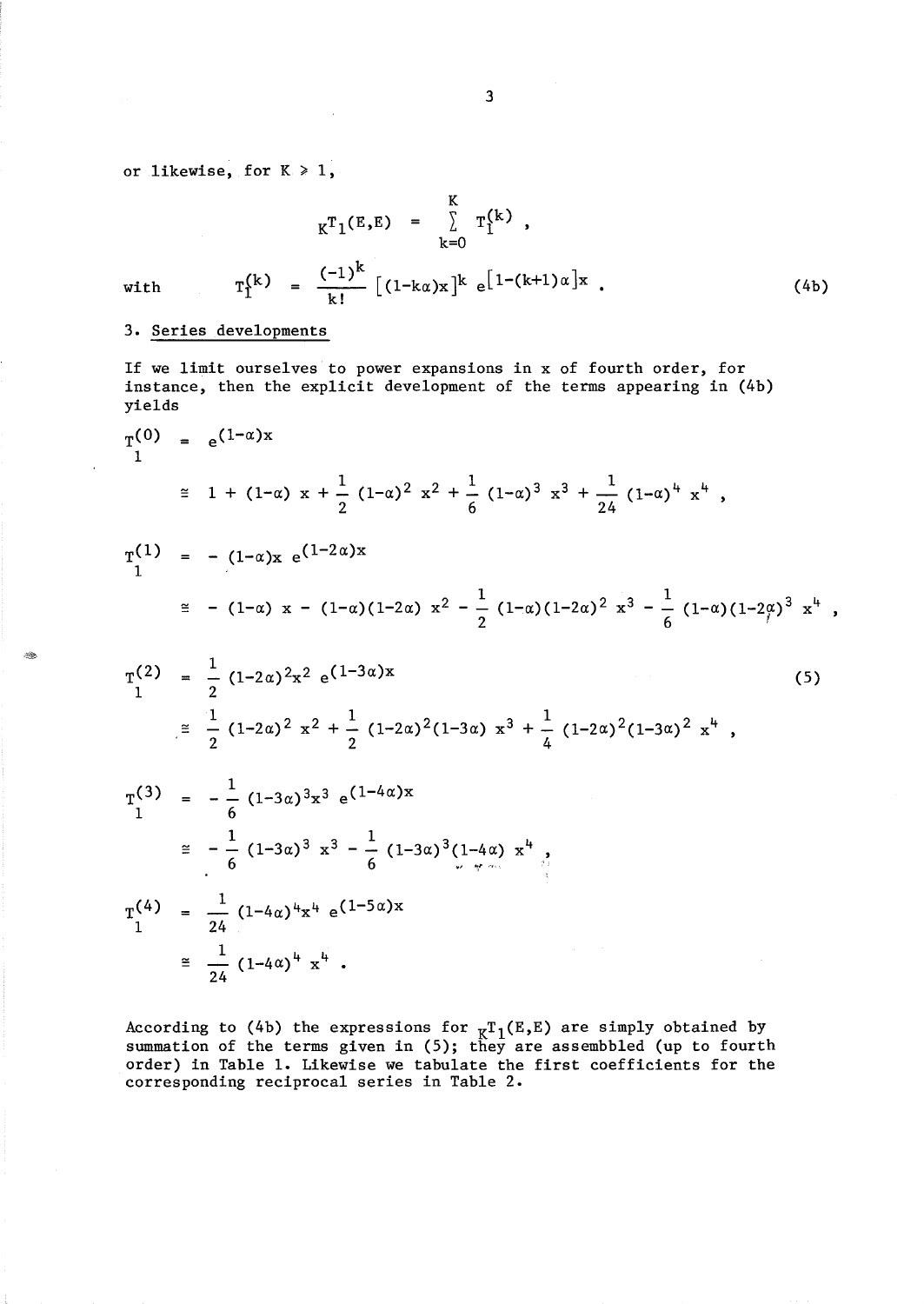or likewise, for  $K \geq 1$ ,

$$
K^{T}1(E,E) = \sum_{k=0}^{K} T_{1}^{(k)},
$$

k!

with

## 3. Series developments

24

If we limit ourselves to power expansions in x of fourth order, for instance, then the explicit development of the terms appearing in (4b) yields

 $\frac{(-1)^{k}}{k}$   $(1-k\alpha)x$ <sup>k</sup> e<sup>[1-(k+1) $\alpha$ ]x</sup>

(4b)

$$
T_{1}^{(0)} = e^{(1-\alpha)x}
$$
\n
$$
\approx 1 + (1-\alpha) x + \frac{1}{2} (1-\alpha)^{2} x^{2} + \frac{1}{6} (1-\alpha)^{3} x^{3} + \frac{1}{24} (1-\alpha)^{4} x^{4},
$$
\n
$$
T_{1}^{(1)} = -(1-\alpha)x e^{(1-2\alpha)x}
$$
\n
$$
\approx -(1-\alpha) x - (1-\alpha)(1-2\alpha) x^{2} - \frac{1}{2} (1-\alpha)(1-2\alpha)^{2} x^{3} - \frac{1}{6} (1-\alpha)(1-2\alpha)^{3} x^{4},
$$
\n
$$
T_{1}^{(2)} = \frac{1}{2} (1-2\alpha)^{2} x^{2} e^{(1-3\alpha)x}
$$
\n
$$
\approx \frac{1}{2} (1-2\alpha)^{2} x^{2} + \frac{1}{2} (1-2\alpha)^{2} (1-3\alpha) x^{3} + \frac{1}{4} (1-2\alpha)^{2} (1-3\alpha)^{2} x^{4},
$$
\n
$$
T_{1}^{(3)} = -\frac{1}{6} (1-3\alpha)^{3} x^{3} e^{(1-4\alpha)x}
$$
\n
$$
\approx -\frac{1}{6} (1-3\alpha)^{3} x^{3} - \frac{1}{6} (1-3\alpha)^{3} (1-4\alpha) x^{4},
$$
\n
$$
T_{1}^{(4)} = \frac{1}{24} (1-4\alpha)^{4} x^{4} e^{(1-5\alpha)x}
$$
\n
$$
\approx \frac{1}{24} (1-4\alpha)^{4} x^{4}.
$$

According to (4b) the expressions for  $\kappa T_1(E,E)$  are simply obtained by summation of the terms given in (5); they are assembbled (up to fourth order) in Table 1. Likewise we tabulate the first coefficients for the corresponding reciprocal series in Table 2.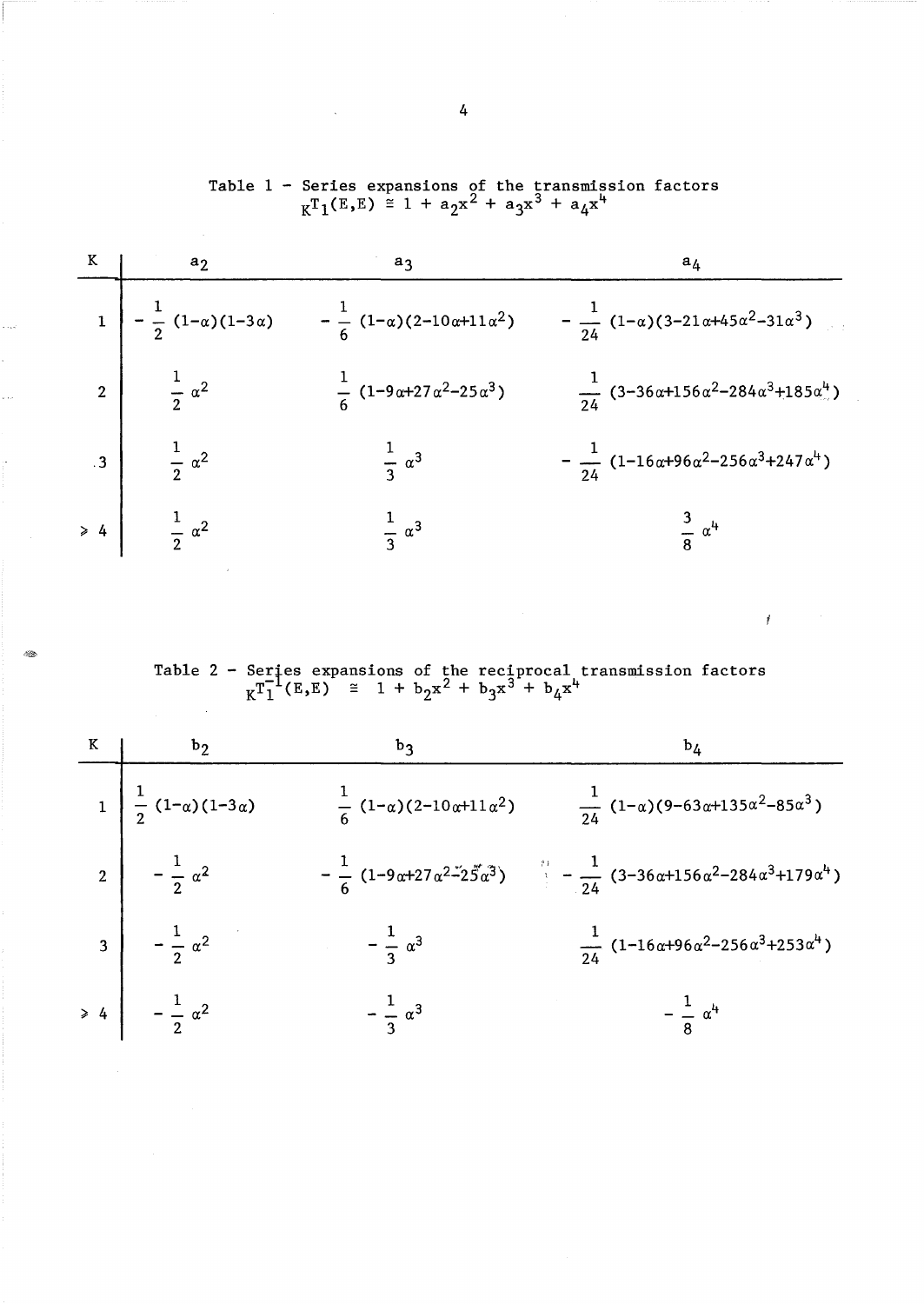|                         | $a_2$                                  | aς                                                                                 | $a_{\Delta}$                                                                    |
|-------------------------|----------------------------------------|------------------------------------------------------------------------------------|---------------------------------------------------------------------------------|
|                         |                                        | $-\frac{1}{2}(1-\alpha)(1-3\alpha) - \frac{1}{6}(1-\alpha)(2-10\alpha+11\alpha^2)$ | $-\frac{1}{24}(1-\alpha)(3-21\alpha+45\alpha^2-31\alpha^3)$                     |
|                         | 2 $\frac{1}{2} \alpha^2$               | $\frac{1}{6}$ (1-9 $\alpha$ +27 $\alpha$ <sup>2</sup> -25 $\alpha$ <sup>3</sup> )  | $\frac{1}{24}$ (3-36α+156α <sup>2</sup> -284α <sup>3</sup> +185α <sup>4</sup> ) |
| $\overline{\mathbf{3}}$ | $rac{1}{2} \alpha^2$                   | $rac{1}{3} \alpha^3$                                                               | $-\frac{1}{24}$ (1-16α+96α <sup>2</sup> -256α <sup>3</sup> +247α <sup>4</sup> ) |
|                         | $\Rightarrow$ 4 $\frac{1}{2} \alpha^2$ | $rac{1}{3} \alpha^3$                                                               | $rac{3}{8}$ $\alpha^4$                                                          |
|                         |                                        |                                                                                    |                                                                                 |

e ve

2.

Table 1 - Series expansions of the transmission factors  $K^{T}1(E,E) \cong 1 + a_{2}x^{2} + a_{3}x^{3} + a_{4}x^{4}$ 

Table 2 - Series expansions of the reciprocal transmission factors  $K_{\rm T1}^{\rm T1}$ (E,E) = 1 + b<sub>2</sub>x<sup>2</sup> + b<sub>3</sub>x<sup>3</sup> + b<sub>4</sub>x<sup>4</sup>

 $\bar{f}$ 

| $1\left[\frac{1}{2}(1-\alpha)(1-3\alpha)\right]$ | $\frac{1}{6}$ (1- $\alpha$ )(2-10 $\alpha$ +11 $\alpha$ <sup>2</sup> ) | $\frac{1}{24}$ (1- $\alpha$ )(9-63 $\alpha$ +135 $\alpha$ <sup>2</sup> -85 $\alpha$ <sup>3</sup> )                                                         |
|--------------------------------------------------|------------------------------------------------------------------------|------------------------------------------------------------------------------------------------------------------------------------------------------------|
| 2 $-\frac{1}{2} \alpha^2$                        |                                                                        | $-\frac{1}{6}$ (1-9α+27α <sup>2-2</sup> 25α <sup>3</sup> ) $\frac{1}{3}$ - $\frac{1}{24}$ (3-36α+156α <sup>2</sup> -284α <sup>3</sup> +179α <sup>4</sup> ) |
| $3\left  \frac{1}{2} \alpha^2 \right $           | $-\frac{1}{3} \alpha^3$                                                | $\frac{1}{24} (1 - 16 \alpha + 96 \alpha^2 - 256 \alpha^3 + 253 \alpha^4)$                                                                                 |
| $\geq 4$ $-\frac{1}{2} \alpha^2$                 | $-\frac{1}{3} \alpha^3$                                                | $-\frac{1}{8} \alpha^{4}$                                                                                                                                  |

4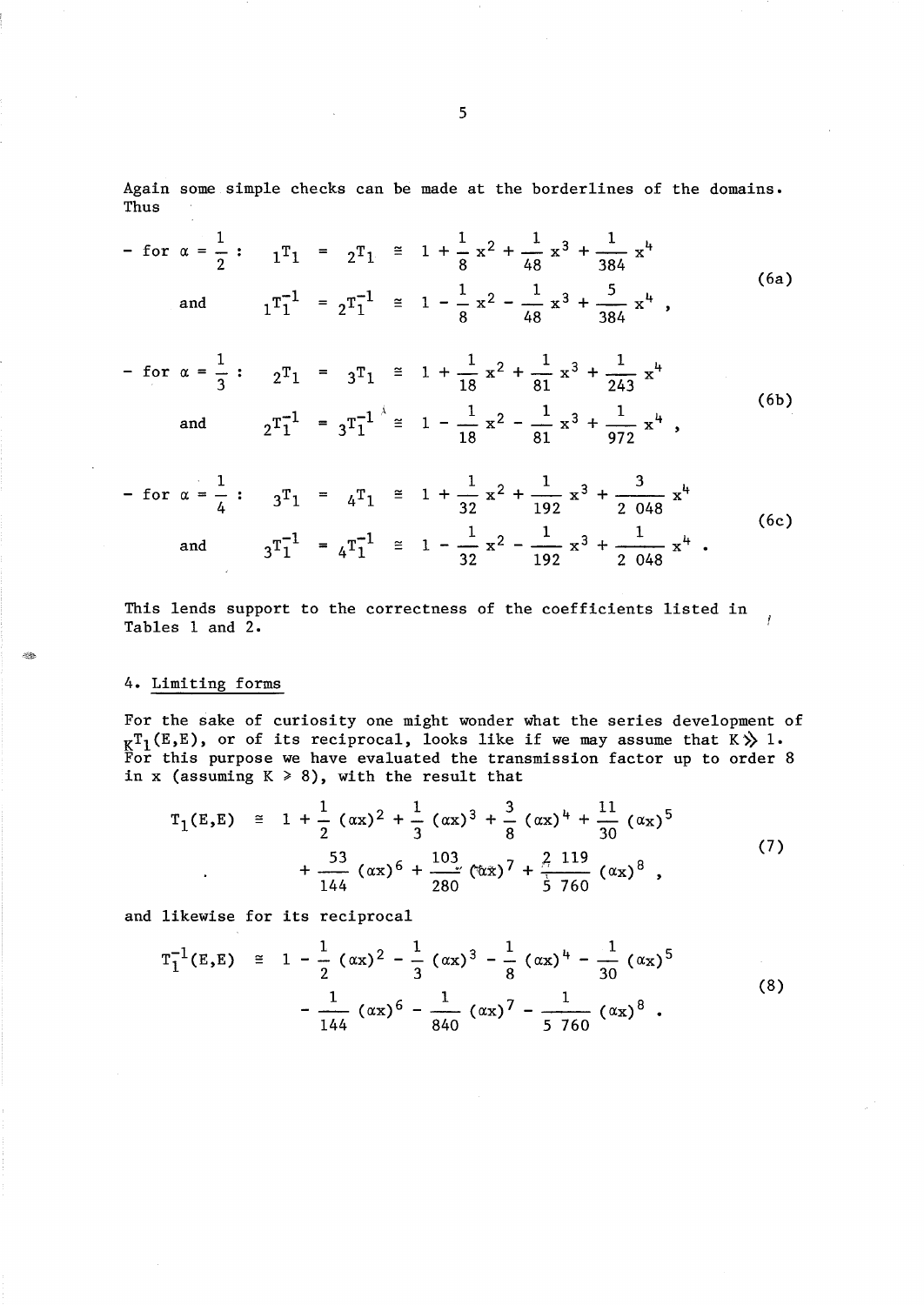Again some simple checks can be made at the borderlines of the domains. Thus

$$
- \text{ for } \alpha = \frac{1}{2} : \quad 1^{\text{T}}_1 = 2^{\text{T}}_1 \cong 1 + \frac{1}{8} x^2 + \frac{1}{48} x^3 + \frac{1}{384} x^4
$$
\n
$$
\text{and} \quad 1^{\text{T}}_1^{-1} = 2^{\text{T}}_1^{-1} \cong 1 - \frac{1}{8} x^2 - \frac{1}{48} x^3 + \frac{5}{384} x^4 \quad (6a)
$$

$$
- \text{ for } \alpha = \frac{1}{3} : 2^{\text{T}}_1 = 3^{\text{T}}_1 \stackrel{\cong}{=} 1 + \frac{1}{18} x^2 + \frac{1}{81} x^3 + \frac{1}{243} x^4
$$
\n
$$
\text{and } 2^{\text{T}}_1^{-1} = 3^{\text{T}}_1^{-1} \stackrel{\wedge}{=} 1 - \frac{1}{18} x^2 - \frac{1}{81} x^3 + \frac{1}{972} x^4 ,
$$
\n
$$
(6b)
$$

$$
- \text{ for } \alpha = \frac{1}{4} : \quad 3^{\text{T}}_1 = 4^{\text{T}}_1 \cong 1 + \frac{1}{32} x^2 + \frac{1}{192} x^3 + \frac{3}{2 \cdot 048} x^4
$$
\n
$$
\text{and} \quad 3^{\text{T}}_1^{-1} = 4^{\text{T}}_1^{-1} \cong 1 - \frac{1}{32} x^2 - \frac{1}{192} x^3 + \frac{1}{2 \cdot 048} x^4 \quad (6c)
$$

This lends support to the correctness of the coefficients listed in  $\mathbf{r}$ Tables 1 and 2.

## 4. Limiting forms

 $~\approx$ 

For the sake of curiosity one might wonder what the series development of  $K^{\mathrm{T}}_1(E,E)$ , or of its reciprocal, looks like if we may assume that  $K \gg 1$ . For this purpose we have evaluated the transmission factor up to order 8 in x (assuming  $K \ge 8$ ), with the result that

$$
T_1(E,E) \cong 1 + \frac{1}{2} (\alpha x)^2 + \frac{1}{3} (\alpha x)^3 + \frac{3}{8} (\alpha x)^4 + \frac{11}{30} (\alpha x)^5 + \frac{53}{144} (\alpha x)^6 + \frac{103}{280} (\alpha x)^7 + \frac{2}{5} \frac{119}{760} (\alpha x)^8 ,
$$
 (7)

and likewise for its reciprocal

$$
T_1^{-1}(E,E) \cong 1 - \frac{1}{2} (\alpha x)^2 - \frac{1}{3} (\alpha x)^3 - \frac{1}{8} (\alpha x)^4 - \frac{1}{30} (\alpha x)^5 - \frac{1}{144} (\alpha x)^6 - \frac{1}{840} (\alpha x)^7 - \frac{1}{5760} (\alpha x)^8.
$$
 (8)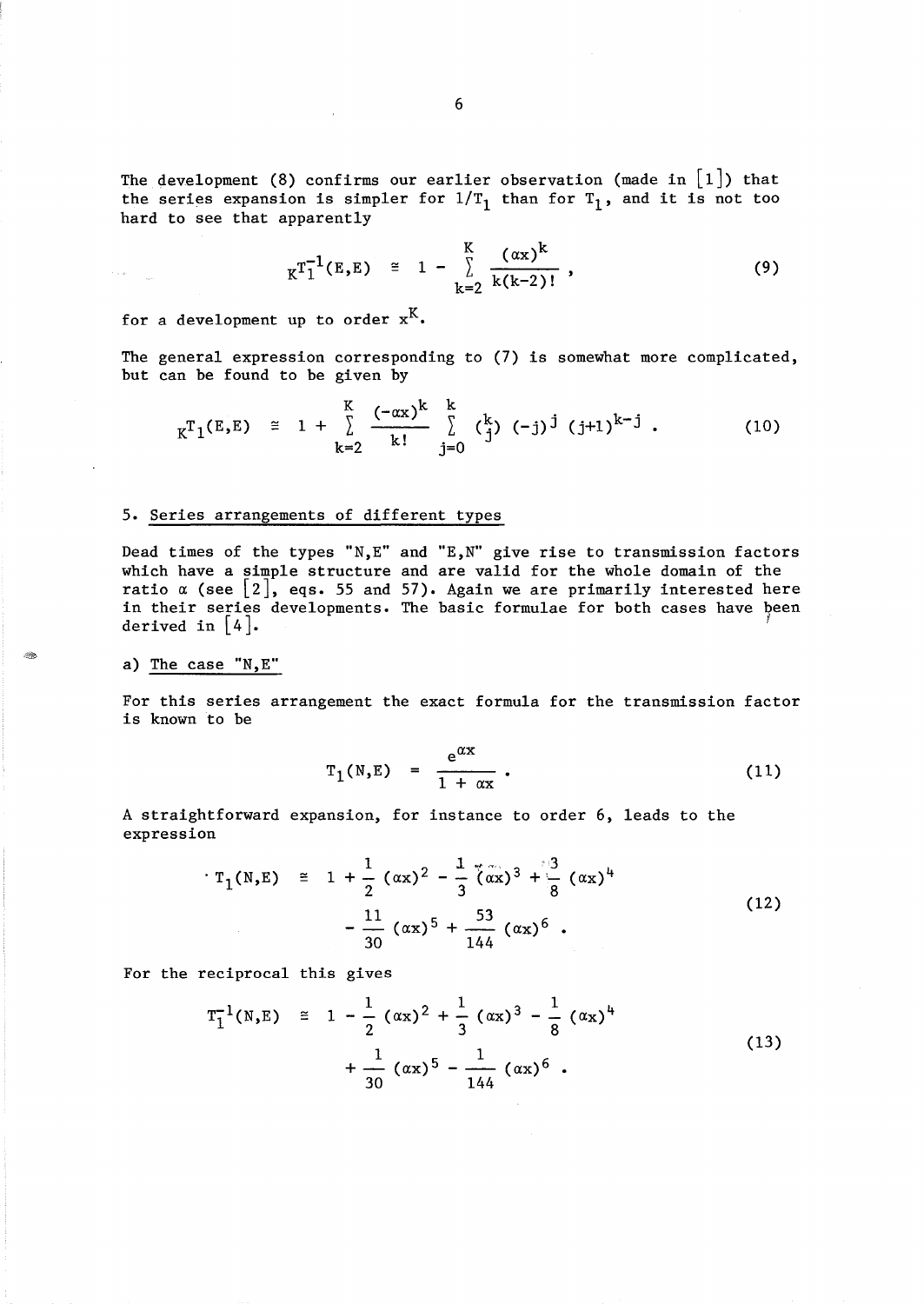The development (8) confirms our earlier observation (made in  $[1]$ ) that the series expansion is simpler for  $1/T_1$  than for  $T_1$ , and it is not too hard to see that apparently

$$
K^{T_1^{-1}}(E,E) \cong 1 - \sum_{k=2}^{K} \frac{(\alpha x)^k}{k(k-2)!}, \qquad (9)
$$

for a development up to order  $x^K$ .

The general expression corresponding to (7) is somewhat more complicated, but can be found to be given by

$$
K^{T_1(E,E)} \cong 1 + \sum_{k=2}^{K} \frac{(-\alpha x)^k}{k!} \sum_{j=0}^{k} {k \choose j} (-j)^j (j+1)^{k-j}.
$$
 (10)

## 5. Series arrangements of different types

Dead times of the types "N, E" and "E, N" give rise to transmission factors which have a simple structure and are valid for the whole domain of the ratio  $\alpha$  (see  $\left[\begin{smallmatrix}2\end{smallmatrix}\right]$ , eqs. 55 and in their series developments. derived in  $\begin{bmatrix} 4 \end{bmatrix}$ . 57). Again we are primarily interested here The basic formulae for both cases have been

### a) The case "N,E"

 $\gamma$  is an  $\gamma$  .

~~~

For this series arrangement the exact formula for the transmission factor is known to be

$$
T_1(N,E) = \frac{e^{\alpha x}}{1 + \alpha x} \t\t(11)
$$

expression

A straightforward expansion, for instance to order 6, leads to the expression  
\n
$$
T_1(N,E) = 1 + \frac{1}{2} (\alpha x)^2 - \frac{1}{3} (\alpha x)^3 + \frac{3}{8} (\alpha x)^4 - \frac{11}{30} (\alpha x)^5 + \frac{53}{144} (\alpha x)^6
$$
\n(12)

For the reciprocal this gives

$$
T_1^{-1}(N,E) \cong 1 - \frac{1}{2} (\alpha x)^2 + \frac{1}{3} (\alpha x)^3 - \frac{1}{8} (\alpha x)^4 + \frac{1}{30} (\alpha x)^5 - \frac{1}{144} (\alpha x)^6.
$$
 (13)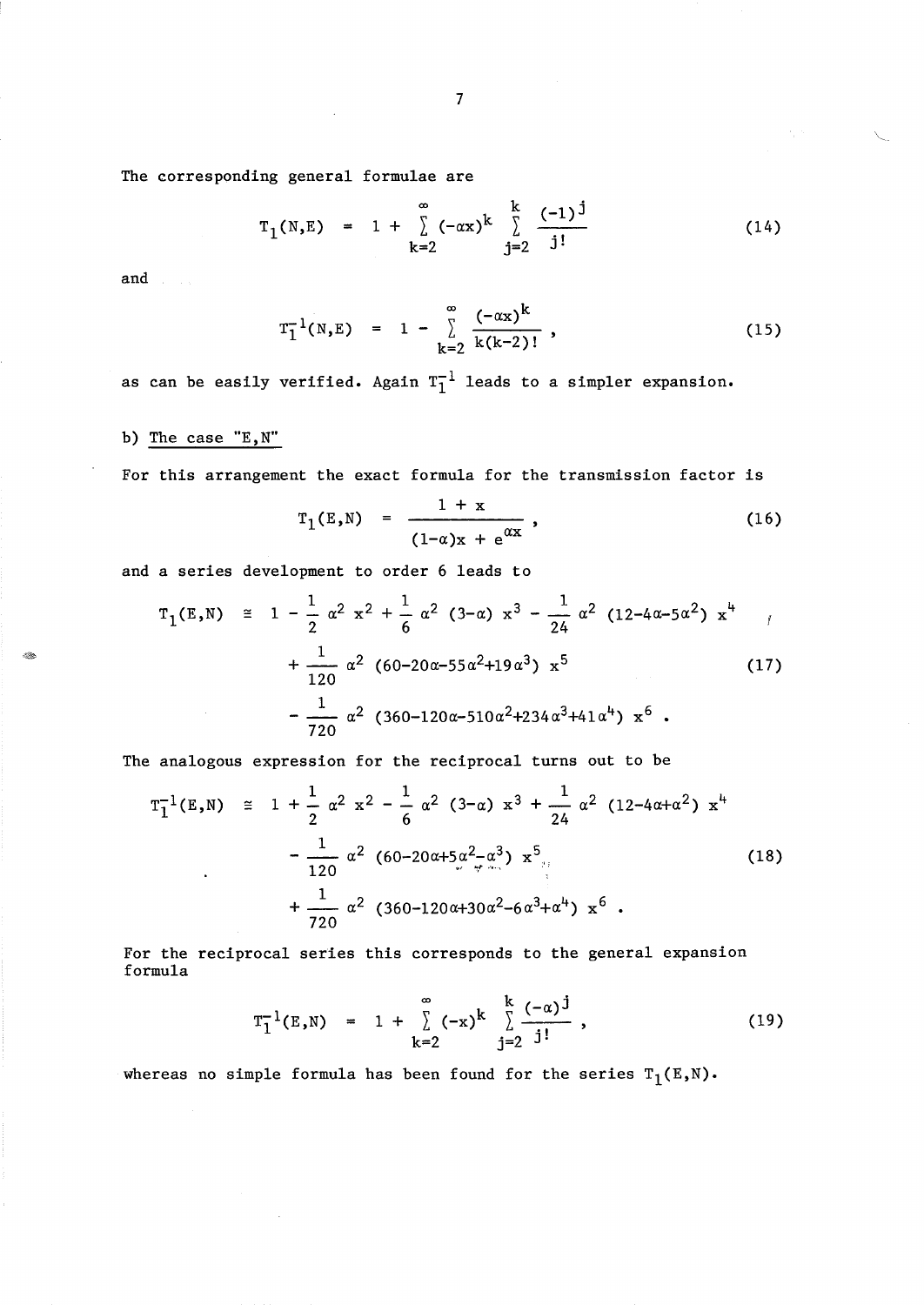The corresponding general formulae are

$$
T_1(N,E) = 1 + \sum_{k=2}^{\infty} (-\alpha x)^k \sum_{j=2}^{k} \frac{(-1)^j}{j!}
$$
 (14)

 $\gamma_{\mu}$  as

and

- Sp

$$
T_1^{-1}(N,E) = 1 - \sum_{k=2}^{\infty} \frac{(-\alpha x)^k}{k(k-2)!},
$$
 (15)

as can be easily verified. Again  $T_1^{-1}$  leads to a simpler expansion.

# b) The case "E,N"

For this arrangement the exact formula for the transmission factor is

$$
T_{1}(E,N) = \frac{1 + x}{(1 - \alpha)x + e^{\alpha x}},
$$
\n(16)  
\n
$$
T_{2} \alpha^{2} x^{2} + \frac{1}{6} \alpha^{2} (3 - \alpha) x^{3} - \frac{1}{24} \alpha^{2} (12 - 4\alpha - 5\alpha^{2}) x^{4}
$$

and a series development to order 6 leads to

$$
T_1(E,N) \cong 1 - \frac{1}{2} \alpha^2 x^2 + \frac{1}{6} \alpha^2 (3-\alpha) x^3 - \frac{1}{24} \alpha^2 (12-4\alpha-5\alpha^2) x^4
$$
  
+ 
$$
\frac{1}{120} \alpha^2 (60-20\alpha-55\alpha^2+19\alpha^3) x^5
$$
(17)  
- 
$$
\frac{1}{720} \alpha^2 (360-120\alpha-510\alpha^2+234\alpha^3+41\alpha^4) x^6
$$
  
analogous expression for the reciprocal turns out to be  

$$
T_1^{-1}(E,N) \cong 1 + \frac{1}{2} \alpha^2 x^2 - \frac{1}{6} \alpha^2 (3-\alpha) x^3 + \frac{1}{24} \alpha^2 (12-4\alpha+\alpha^2) x^4
$$

The analogous expression for the reciprocal turns out to be

$$
T_1^{-1}(E,N) \cong 1 + \frac{1}{2} \alpha^2 x^2 - \frac{1}{6} \alpha^2 (3-\alpha) x^3 + \frac{1}{24} \alpha^2 (12-4\alpha+\alpha^2) x^4
$$
  

$$
- \frac{1}{120} \alpha^2 (60-20\alpha+5\alpha^2-\alpha^3) x^5
$$
  

$$
+ \frac{1}{720} \alpha^2 (360-120\alpha+30\alpha^2-6\alpha^3+\alpha^4) x^6
$$
 (18)

For the reciprocal series this corresponds to the general expansion formula

$$
T_1^{-1}(E,N) = 1 + \sum_{k=2}^{\infty} (-x)^k \sum_{j=2}^{k} \frac{(-\alpha)^j}{j!}, \qquad (19)
$$

whereas no simple formula has been found for the series  $T_1(E,N)$ .